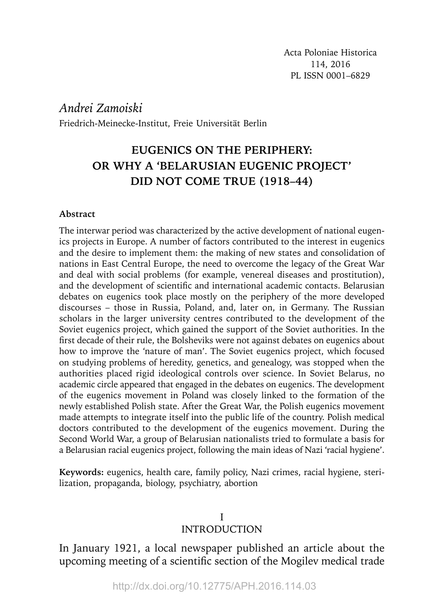# *Andrei Zamoiski*

Friedrich-Meinecke-Institut, Freie Universität Berlin

# **EUGENICS ON THE PERIPHERY: OR WHY A 'BELARUSIAN EUGENIC PROJECT' DID NOT COME TRUE (1918–44)**

#### **Abstract**

The interwar period was characterized by the active development of national eugenics projects in Europe. A number of factors contributed to the interest in eugenics and the desire to implement them: the making of new states and consolidation of nations in East Central Europe, the need to overcome the legacy of the Great War and deal with social problems (for example, venereal diseases and prostitution), and the development of scientific and international academic contacts. Belarusian debates on eugenics took place mostly on the periphery of the more developed discourses – those in Russia, Poland, and, later on, in Germany. The Russian scholars in the larger university centres contributed to the development of the Soviet eugenics project, which gained the support of the Soviet authorities. In the first decade of their rule, the Bolsheviks were not against debates on eugenics about how to improve the 'nature of man'. The Soviet eugenics project, which focused on studying problems of heredity, genetics, and genealogy, was stopped when the authorities placed rigid ideological controls over science. In Soviet Belarus, no academic circle appeared that engaged in the debates on eugenics. The development of the eugenics movement in Poland was closely linked to the formation of the newly established Polish state. After the Great War, the Polish eugenics movement made attempts to integrate itself into the public life of the country. Polish medical doctors contributed to the development of the eugenics movement. During the Second World War, a group of Belarusian nationalists tried to formulate a basis for a Belarusian racial eugenics project, following the main ideas of Nazi 'racial hygiene'.

**Keywords:** eugenics, health care, family policy, Nazi crimes, racial hygiene, sterilization, propaganda, biology, psychiatry, abortion

### I INTRODUCTION

In January 1921, a local newspaper published an article about the upcoming meeting of a scientific section of the Mogilev medical trade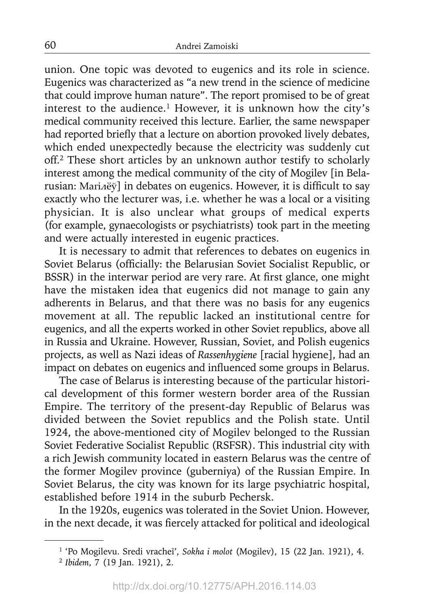union. One topic was devoted to eugenics and its role in science. Eugenics was characterized as "a new trend in the science of medicine that could improve human nature". The report promised to be of great interest to the audience.<sup>1</sup> However, it is unknown how the city's medical community received this lecture. Earlier, the same newspaper had reported briefly that a lecture on abortion provoked lively debates, which ended unexpectedly because the electricity was suddenly cut off.2 These short articles by an unknown author testify to scholarly interest among the medical community of the city of Mogilev [in Belarusian: Marinev in debates on eugenics. However, it is difficult to say exactly who the lecturer was, i.e. whether he was a local or a visiting physician. It is also unclear what groups of medical experts (for example, gynaecologists or psychiatrists) took part in the meeting and were actually interested in eugenic practices.

It is necessary to admit that references to debates on eugenics in Soviet Belarus (officially: the Belarusian Soviet Socialist Republic, or BSSR) in the interwar period are very rare. At first glance, one might have the mistaken idea that eugenics did not manage to gain any adherents in Belarus, and that there was no basis for any eugenics movement at all. The republic lacked an institutional centre for eugenics, and all the experts worked in other Soviet republics, above all in Russia and Ukraine. However, Russian, Soviet, and Polish eugenics projects, as well as Nazi ideas of *Rassenhygiene* [racial hygiene], had an impact on debates on eugenics and influenced some groups in Belarus.

The case of Belarus is interesting because of the particular historical development of this former western border area of the Russian Empire. The territory of the present-day Republic of Belarus was divided between the Soviet republics and the Polish state. Until 1924, the above-mentioned city of Mogilev belonged to the Russian Soviet Federative Socialist Republic (RSFSR). This industrial city with a rich Jewish community located in eastern Belarus was the centre of the former Mogilev province (guberniya) of the Russian Empire. In Soviet Belarus, the city was known for its large psychiatric hospital, established before 1914 in the suburb Pechersk.

In the 1920s, eugenics was tolerated in the Soviet Union. However, in the next decade, it was fiercely attacked for political and ideological

<sup>1 &#</sup>x27;Po Mogilevu. Sredi vracheĭ', *Sokha i molot* (Mogilev), 15 (22 Jan. 1921), 4. <sup>2</sup>*Ibidem*, 7 (19 Jan. 1921), 2.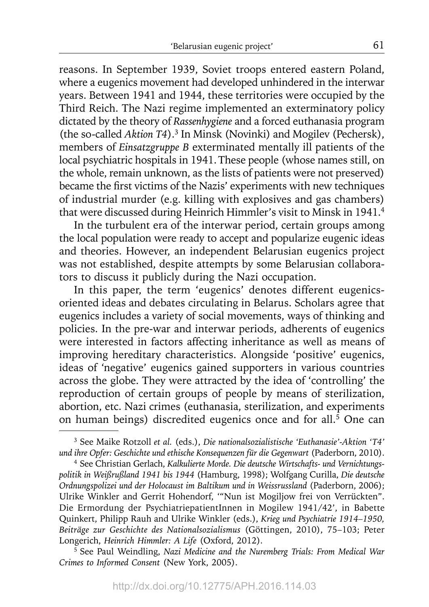reasons. In September 1939, Soviet troops entered eastern Poland, where a eugenics movement had developed unhindered in the interwar years. Between 1941 and 1944, these territories were occupied by the Third Reich. The Nazi regime implemented an exterminatory policy dictated by the theory of *Rassenhygiene* and a forced euthanasia program (the so-called *Aktion T4*).3 In Minsk (Novinki) and Mogilev (Pechersk), members of *Einsatzgruppe B* exterminated mentally ill patients of the local psychiatric hospitals in 1941.These people (whose names still, on the whole, remain unknown, as the lists of patients were not preserved) became the first victims of the Nazis' experiments with new techniques of industrial murder (e.g. killing with explosives and gas chambers) that were discussed during Heinrich Himmler's visit to Minsk in 1941.4

In the turbulent era of the interwar period, certain groups among the local population were ready to accept and popularize eugenic ideas and theories. However, an independent Belarusian eugenics project was not established, despite attempts by some Belarusian collaborators to discuss it publicly during the Nazi occupation.

In this paper, the term 'eugenics' denotes different eugenicsoriented ideas and debates circulating in Belarus. Scholars agree that eugenics includes a variety of social movements, ways of thinking and policies. In the pre-war and interwar periods, adherents of eugenics were interested in factors affecting inheritance as well as means of improving hereditary characteristics. Alongside 'positive' eugenics, ideas of 'negative' eugenics gained supporters in various countries across the globe. They were attracted by the idea of 'controlling' the reproduction of certain groups of people by means of sterilization, abortion, etc. Nazi crimes (euthanasia, sterilization, and experiments on human beings) discredited eugenics once and for all.<sup>5</sup> One can

<sup>3</sup> See Maike Rotzoll *et al.* (eds.), *Die nationalsozialistische 'Euthanasie'-Aktion 'T4' und ihre Opfer: Geschichte und ethische Konsequenzen für die Gegenwart* (Paderborn, 2010).

<sup>4</sup> See Christian Gerlach, *Kalkulierte Morde. Die deutsche Wirtschafts- und Vernichtungspolitik in Weißrußland 1941 bis 1944* (Hamburg, 1998); Wolfgang Curilla, *Die deutsche Ordnungspolizei und der Holocaust im Baltikum und in Weissrussland* (Paderborn, 2006); Ulrike Winkler and Gerrit Hohendorf, '"Nun ist Mogiljow frei von Verrückten". Die Ermordung der PsychiatriepatientInnen in Mogilew 1941/42', in Babette Quinkert, Philipp Rauh and Ulrike Winkler (eds.), *Krieg und Psychiatrie 1914–1950, Beiträge zur Geschichte des Nationalsozialismus* (Göttingen, 2010), 75–103; Peter Longerich, *Heinrich Himmler: A Life* (Oxford, 2012).

<sup>5</sup> See Paul Weindling, *Nazi Medicine and the Nuremberg Trials: From Medical War Crimes to Informed Consent* (New York, 2005).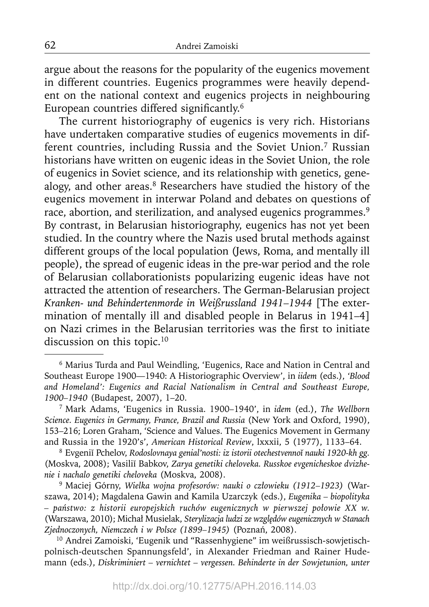argue about the reasons for the popularity of the eugenics movement in different countries. Eugenics programmes were heavily dependent on the national context and eugenics projects in neighbouring European countries differed significantly.<sup>6</sup>

The current historiography of eugenics is very rich. Historians have undertaken comparative studies of eugenics movements in different countries, including Russia and the Soviet Union.7 Russian historians have written on eugenic ideas in the Soviet Union, the role of eugenics in Soviet science, and its relationship with genetics, genealogy, and other areas.<sup>8</sup> Researchers have studied the history of the eugenics movement in interwar Poland and debates on questions of race, abortion, and sterilization, and analysed eugenics programmes.<sup>9</sup> By contrast, in Belarusian historiography, eugenics has not yet been studied. In the country where the Nazis used brutal methods against different groups of the local population (Jews, Roma, and mentally ill people), the spread of eugenic ideas in the pre-war period and the role of Belarusian collaborationists popularizing eugenic ideas have not attracted the attention of researchers. The German-Belarusian project *Kranken- und Behindertenmorde in Weißrussland 1941–1944* [The extermination of mentally ill and disabled people in Belarus in 1941–4] on Nazi crimes in the Belarusian territories was the first to initiate discussion on this topic.<sup>10</sup>

8 Evgeniĭ Pchelov, *Rodoslovnaya genial'nosti: iz istorii otechestvennoĭ nauki 1920-kh gg.*  (Moskva, 2008); Vasiliĭ Babkov, *Zarya genetiki cheloveka. Russkoe evgenicheskoe dvizhenie i nachalo genetiki cheloveka* (Moskva, 2008).

<sup>9</sup> Maciej Górny, Wielka wojna profesorów: nauki o człowieku (1912–1923) (Warszawa, 2014); Magdalena Gawin and Kamila Uzarczyk (eds.), *Eugenika – biopolityka – państwo: z historii europejskich ruchó w eugenicznych w pierwszej połowie XX w.* ( Warszawa, 2010); Michał Musielak, *Sterylizacja ludzi ze względów eugenicznych w Stanach Zjednoczonych, Niemczech i w Polsce (1899–1945)* (Poznań, 2008).

10 Andrei Zamoiski, 'Eugenik und "Rassenhygiene" im weißrussisch-sowjetischpolnisch-deutschen Spannungsfeld', in Alexander Friedman and Rainer Hudemann (eds.), *Diskriminiert – vernichtet – vergessen. Behinderte in der Sowjetunion, unter* 

<sup>6</sup> Marius Turda and Paul Weindling, 'Eugenics, Race and Nation in Central and Southeast Europe 1900—1940: A Historiographic Overview', in *iidem* (eds.), *'Blood and Homeland': Eugenics and Racial Nationalism in Central and Southeast Europe, 1900–1940* (Budapest, 2007), 1–20.

<sup>7</sup> Mark Adams, 'Eugenics in Russia. 1900–1940', in *idem* (ed.), *The Wellborn Science. Eugenics in Germany, France, Brazil and Russia* (New York and Oxford, 1990), 153–216; Loren Graham, 'Science and Values. The Eugenics Movement in Germany and Russia in the 1920's', *American Historical Review*, lxxxii, 5 (1977), 1133–64.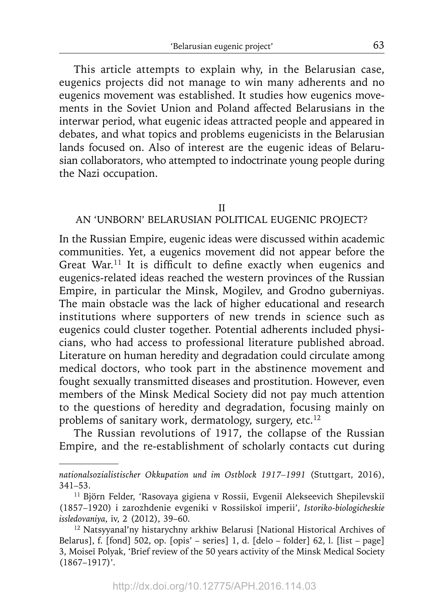This article attempts to explain why, in the Belarusian case, eugenics projects did not manage to win many adherents and no eugenics movement was established. It studies how eugenics movements in the Soviet Union and Poland affected Belarusians in the interwar period, what eugenic ideas attracted people and appeared in debates, and what topics and problems eugenicists in the Belarusian lands focused on. Also of interest are the eugenic ideas of Belarusian collaborators, who attempted to indoctrinate young people during the Nazi occupation.

#### II

## AN 'UNBORN' BELARUSIAN POLITICAL EUGENIC PROJECT?

In the Russian Empire, eugenic ideas were discussed within academic communities. Yet, a eugenics movement did not appear before the Great War.<sup>11</sup> It is difficult to define exactly when eugenics and eugenics-related ideas reached the western provinces of the Russian Empire, in particular the Minsk, Mogilev, and Grodno guberniyas. The main obstacle was the lack of higher educational and research institutions where supporters of new trends in science such as eugenics could cluster together. Potential adherents included physicians, who had access to professional literature published abroad. Literature on human heredity and degradation could circulate among medical doctors, who took part in the abstinence movement and fought sexually transmitted diseases and prostitution. However, even members of the Minsk Medical Society did not pay much attention to the questions of heredity and degradation, focusing mainly on problems of sanitary work, dermatology, surgery, etc.12

The Russian revolutions of 1917, the collapse of the Russian Empire, and the re-establishment of scholarly contacts cut during

*nationalsozialistischer Okkupation und im Ostblock 1917–1991* (Stuttgart, 2016), 341–53.

<sup>&</sup>lt;sup>11</sup> Björn Felder, 'Rasovaya gigiena v Rossii, Evgeniĭ Alekseevich Shepilevskiĭ (1857–1920) i zarozhdenie evgeniki v Rossiĭskoĭ imperii', *Istoriko-biologicheskie issledovaniya*, iv, 2 (2012), 39–60.

<sup>12</sup> Natsyyanal'ny histarychny arkhiw Belarusi [National Historical Archives of Belarus], f.  $[$ fond] 502, op.  $[$ opis' – series] 1, d.  $[$ delo – folder] 62, l.  $[$ list – page] 3, Moiseĭ Polyak, 'Brief review of the 50 years activity of the Minsk Medical Society (1867–1917)'.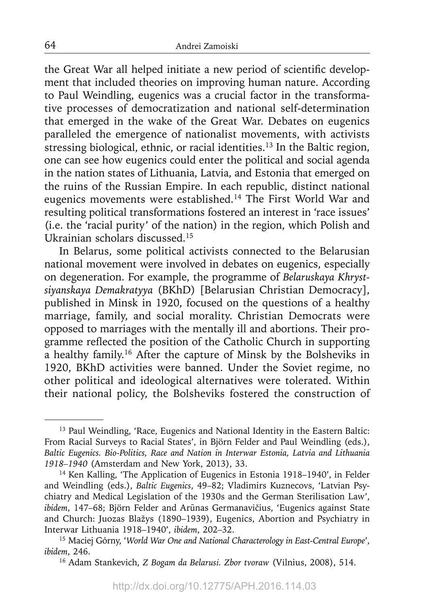the Great War all helped initiate a new period of scientific development that included theories on improving human nature. According to Paul Weindling, eugenics was a crucial factor in the transformative processes of democratization and national self-determination that emerged in the wake of the Great War. Debates on eugenics paralleled the emergence of nationalist movements, with activists stressing biological, ethnic, or racial identities.<sup>13</sup> In the Baltic region, one can see how eugenics could enter the political and social agenda in the nation states of Lithuania, Latvia, and Estonia that emerged on the ruins of the Russian Empire. In each republic, distinct national eugenics movements were established.14 The First World War and resulting political transformations fostered an interest in 'race issues' (i.e. the 'racial purity' of the nation) in the region, which Polish and Ukrainian scholars discussed.15

In Belarus, some political activists connected to the Belarusian national movement were involved in debates on eugenics, especially on degeneration. For example, the programme of *Belaruskaya Khrystsiyanskaya Demakratyya* (BKhD) [Belarusian Christian Democracy], published in Minsk in 1920, focused on the questions of a healthy marriage, family, and social morality. Christian Democrats were opposed to marriages with the mentally ill and abortions. Their programme reflected the position of the Catholic Church in supporting a healthy family.16 After the capture of Minsk by the Bolsheviks in 1920, BKhD activities were banned. Under the Soviet regime, no other political and ideological alternatives were tolerated. Within their national policy, the Bolsheviks fostered the construction of

<sup>&</sup>lt;sup>13</sup> Paul Weindling, 'Race, Eugenics and National Identity in the Eastern Baltic: From Racial Surveys to Racial States', in Björn Felder and Paul Weindling (eds.), *Baltic Eugenics. Bio-Politics, Race and Nation in Interwar Estonia, Latvia and Lithuania 1918–1940* (Amsterdam and New York, 2013), 33.

<sup>&</sup>lt;sup>14</sup> Ken Kalling, 'The Application of Eugenics in Estonia 1918–1940', in Felder and Weindling (eds.), *Baltic Eugenics*, 49–82; Vladimirs Kuznecovs, 'Latvian Psychiatry and Medical Legislation of the 1930s and the German Sterilisation Law', *ibidem*, 147–68; Björn Felder and Arūnas Germanavičius, 'Eugenics against State and Church: Juozas Blažys (1890–1939), Eugenics, Abortion and Psychiatry in Interwar Lithuania 1918–1940', *ibidem*, 202–32.

<sup>15</sup> Maciej Górny, '*World War One and National Characterology in East-Central Europe*', *ibidem*, 246.

<sup>16</sup> Adam Stankevich, *Z Bogam da Belarusi. Zbor tvoraw* (Vilnius, 2008), 514.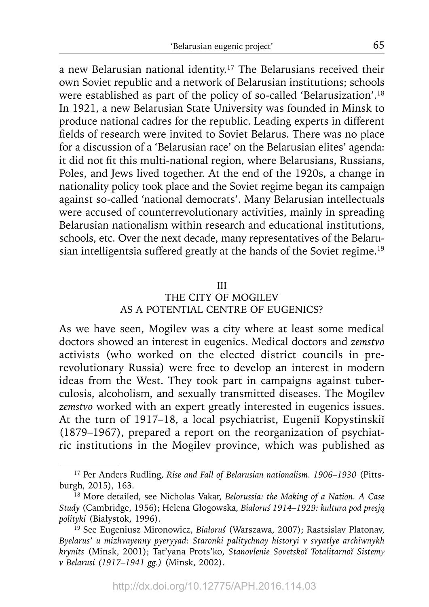a new Belarusian national identity.17 The Belarusians received their own Soviet republic and a network of Belarusian institutions; schools were established as part of the policy of so-called 'Belarusization'.18 In 1921, a new Belarusian State University was founded in Minsk to produce national cadres for the republic. Leading experts in different fields of research were invited to Soviet Belarus. There was no place for a discussion of a 'Belarusian race' on the Belarusian elites' agenda: it did not fit this multi-national region, where Belarusians, Russians, Poles, and Jews lived together. At the end of the 1920s, a change in nationality policy took place and the Soviet regime began its campaign against so-called 'national democrats'. Many Belarusian intellectuals were accused of counterrevolutionary activities, mainly in spreading Belarusian nationalism within research and educational institutions, schools, etc. Over the next decade, many representatives of the Belarusian intelligentsia suffered greatly at the hands of the Soviet regime.<sup>19</sup>

#### III

## THE CITY OF MOGILEV AS A POTENTIAL CENTRE OF EUGENICS?

As we have seen, Mogilev was a city where at least some medical doctors showed an interest in eugenics. Medical doctors and *zemstvo* activists (who worked on the elected district councils in prerevolutionary Russia) were free to develop an interest in modern ideas from the West. They took part in campaigns against tuberculosis, alcoholism, and sexually transmitted diseases. The Mogilev *zemstvo* worked with an expert greatly interested in eugenics issues. At the turn of 1917–18, a local psychiatrist, Eugeniĭ Kopystinskiĭ (1879–1967), prepared a report on the reorganization of psychiatric institutions in the Mogilev province, which was published as

<sup>17</sup> Per Anders Rudling, *Rise and Fall of Belarusian nationalism. 1906–1930* (Pittsburgh, 2015), 163.

<sup>18</sup> More detailed, see Nicholas Vakar, *Belorussia: the Making of a Nation. A Case Study* (Cambridge, 1956); Helena Głogowska, *Białoruś 1914–1929: kultura pod presją polityki* (Białystok, 1996).

<sup>19</sup> See Eugeniusz Mironowicz, *Białoruś* (Warszawa, 2007); Rastsislav Platonav, *Byelarus' u mizhvayenny pyeryyad: Staronki palitychnay historyi v svyatlye archiwnykh krynits* (Minsk, 2001); Tat'yana Prots'ko, *Stanovlenie Sovetskoĭ Totalitarnoĭ Sistemy v Belarusi (1917–1941 gg.)* (Minsk, 2002).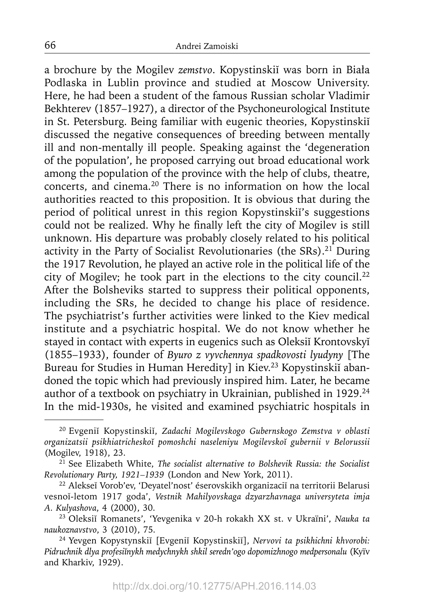a brochure by the Mogilev *zemstvo*. Kopystinskiĭ was born in Biała Podlaska in Lublin province and studied at Moscow University. Here, he had been a student of the famous Russian scholar Vladimir Bekhterev (1857–1927), a director of the Psychoneurological Institute in St. Petersburg. Being familiar with eugenic theories, Kopystinskiĭ discussed the negative consequences of breeding between mentally ill and non-mentally ill people. Speaking against the 'degeneration of the population', he proposed carrying out broad educational work among the population of the province with the help of clubs, theatre, concerts, and cinema.20 There is no information on how the local authorities reacted to this proposition. It is obvious that during the period of political unrest in this region Kopystinskiĭ's suggestions could not be realized. Why he finally left the city of Mogilev is still unknown. His departure was probably closely related to his political activity in the Party of Socialist Revolutionaries (the SRs).<sup>21</sup> During the 1917 Revolution, he played an active role in the political life of the city of Mogilev; he took part in the elections to the city council.22 After the Bolsheviks started to suppress their political opponents, including the SRs, he decided to change his place of residence. The psychiatrist's further activities were linked to the Kiev medical institute and a psychiatric hospital. We do not know whether he stayed in contact with experts in eugenics such as Oleksiĭ Krontovskyĭ (1855–1933), founder of *Byuro z vyvchennya spadkovosti lyudyny* [The Bureau for Studies in Human Heredity] in Kiev.23 Kopystinskiĭ abandoned the topic which had previously inspired him. Later, he became author of a textbook on psychiatry in Ukrainian, published in 1929.<sup>24</sup> In the mid-1930s, he visited and examined psychiatric hospitals in

<sup>20</sup> Evgeniĭ Kopystinskiĭ, *Zadachi Mogilevskogo Gubernskogo Zemstva v oblasti organizatsii psikhiatricheskoĭ pomoshchi naseleniyu Mogilevskoĭ gubernii v Belorussii* (Mogilev, 1918), 23.

<sup>21</sup> See Elizabeth White, *The socialist alternative to Bolshevik Russia: the Socialist Revolutionary Party, 1921–1939* (London and New York, 2011).

<sup>22</sup> Alekseĭ Vorob'ev, 'Deyatel'nost' éserovskikh organizaciĭ na territorii Belarusi vesnoĭ-letom 1917 goda', *Vestnik Mahilyovskaga dzyarzhavnaga universyteta imja A. Kulyashova*, 4 (2000), 30. 23 Oleksiĭ Romanets', 'Yevgenika v 20-h rokakh XX st. v Ukraïni', *Nauka ta* 

*nauko znavstvo*, 3 (2010), 75.

<sup>24</sup> Yevgen Kopystynskiĭ [Evgeniĭ Kopystinskiĭ], *Nervovi ta psikhichni khvorobi: Pidruchnik dlya profesiĭnykh medychnykh shkil seredn'ogo dopomizhnogo medpersonalu* (Kyïv and Kharkiv, 1929).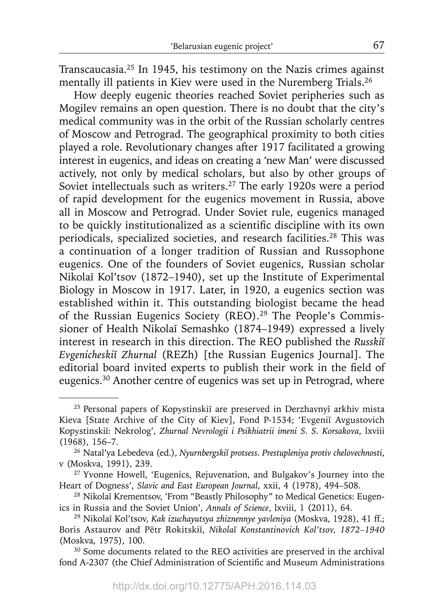Transcaucasia.25 In 1945, his testimony on the Nazis crimes against mentally ill patients in Kiev were used in the Nuremberg Trials.<sup>26</sup>

How deeply eugenic theories reached Soviet peripheries such as Mogilev remains an open question. There is no doubt that the city's medical community was in the orbit of the Russian scholarly centres of Moscow and Petrograd. The geographical proximity to both cities played a role. Revolutionary changes after 1917 facilitated a growing interest in eugenics, and ideas on creating a 'new Man' were discussed actively, not only by medical scholars, but also by other groups of Soviet intellectuals such as writers.<sup>27</sup> The early 1920s were a period of rapid development for the eugenics movement in Russia, above all in Moscow and Petrograd. Under Soviet rule, eugenics managed to be quickly institutionalized as a scientific discipline with its own periodicals, specialized societies, and research facilities.28 This was a continuation of a longer tradition of Russian and Russophone eugenics. One of the founders of Soviet eugenics, Russian scholar Nikolaĭ Kol'tsov (1872–1940), set up the Institute of Experimental Biology in Moscow in 1917. Later, in 1920, a eugenics section was established within it. This outstanding biologist became the head of the Russian Eugenics Society (REO).<sup>29</sup> The People's Commissioner of Health Nikolaĭ Semashko (1874–1949) expressed a lively interest in research in this direction. The REO published the *Russkiĭ Evgenicheskiĭ Zhurnal* (REZh) [the Russian Eugenics Journal]. The editorial board invited experts to publish their work in the field of eugenics.30 Another centre of eugenics was set up in Petrograd, where

<sup>&</sup>lt;sup>25</sup> Personal papers of Kopystinskiï are preserved in Derzhavnyĭ arkhiv mista Kieva [State Archive of the City of Kiev], Fond P-1534; 'Evgeniĭ Avgustovich Kopystinskiĭ: Nekrolog', *Zhurnal Nevrologii i Psikhiatrii imeni S. S. Korsakova*, lxviii (1968), 156–7.

<sup>26</sup> Natal'ya Lebedeva (ed.), *Nyurnbergskiĭ protsess*. *Prestupleniya protiv chelovechnosti*, v (Moskva, 1991), 239.

<sup>&</sup>lt;sup>27</sup> Yvonne Howell, 'Eugenics, Rejuvenation, and Bulgakov's Journey into the Heart of Dogness', *Slavic and East European Journal*, xxii, 4 (1978), 494–508.

<sup>28</sup> Nikolaĭ Krementsov, 'From "Beastly Philosophy" to Medical Genetics: Eugenics in Russia and the Soviet Union', *Annals of Science*, lxviii, 1 (2011), 64.

<sup>29</sup> Nikolaĭ Kol'tsov, *Kak izuchayutsya zhiznennye yavleniya* (Moskva, 1928), 41 ff.; Boris Astaurov and Pëtr Rokitskiĭ, *Nikolaĭ Konstantinovich Kol'tsov, 1872–1940* (Moskva, 1975), 100.

<sup>&</sup>lt;sup>30</sup> Some documents related to the REO activities are preserved in the archival fond A-2307 (the Chief Administration of Scientific and Museum Administrations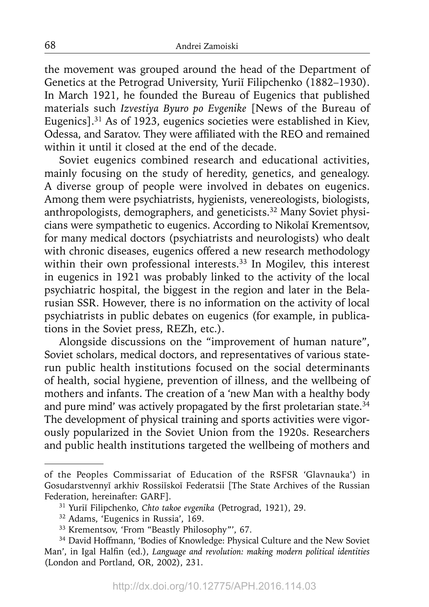the movement was grouped around the head of the Department of Genetics at the Petrograd University, Yurii Filipchenko (1882–1930). In March 1921, he founded the Bureau of Eugenics that published materials such *Izvestiya Byuro po Evgenike* [News of the Bureau of Eugenics].31 As of 1923, eugenics societies were established in Kiev, Odessa, and Saratov. They were affiliated with the REO and remained within it until it closed at the end of the decade.

Soviet eugenics combined research and educational activities, mainly focusing on the study of heredity, genetics, and genealogy. A diverse group of people were involved in debates on eugenics. Among them were psychiatrists, hygienists, venereologists, biologists, anthropologists, demographers, and geneticists.32 Many Soviet physicians were sympathetic to eugenics. According to Nikolaĭ Krementsov, for many medical doctors (psychiatrists and neurologists) who dealt with chronic diseases, eugenics offered a new research methodology within their own professional interests.<sup>33</sup> In Mogilev, this interest in eugenics in 1921 was probably linked to the activity of the local psychiatric hospital, the biggest in the region and later in the Belarusian SSR. However, there is no information on the activity of local psychiatrists in public debates on eugenics (for example, in publications in the Soviet press, REZh, etc.).

Alongside discussions on the "improvement of human nature", Soviet scholars, medical doctors, and representatives of various staterun public health institutions focused on the social determinants of health, social hygiene, prevention of illness, and the wellbeing of mothers and infants. The creation of a 'new Man with a healthy body and pure mind' was actively propagated by the first proletarian state. $34$ The development of physical training and sports activities were vigorously popularized in the Soviet Union from the 1920s. Researchers and public health institutions targeted the wellbeing of mothers and

of the Peoples Commissariat of Education of the RSFSR 'Glavnauka') in Gosudarstvennyĭ arkhiv Rossiĭskoĭ Federatsii [The State Archives of the Russian Federation, hereinafter: GARF].

<sup>31</sup> Yuriĭ Filipchenko, *Chto takoe evgenika* (Petrograd, 1921), 29.

<sup>32</sup> Adams, 'Eugenics in Russia', 169.

<sup>33</sup> Krementsov, 'From "Beastly Philosophy"', 67.

<sup>&</sup>lt;sup>34</sup> David Hoffmann, 'Bodies of Knowledge: Physical Culture and the New Soviet Man', in Igal Halfin (ed.), *Language and revolution: making modern political identities* (London and Portland, OR, 2002), 231.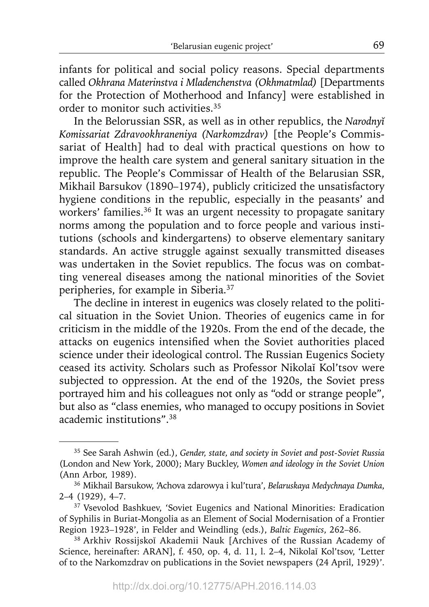infants for political and social policy reasons. Special departments called *Okhrana Materinstva i Mladenchenstva (Okhmatmlad)* [Departments for the Protection of Motherhood and Infancy] were established in order to monitor such activities.35

In the Belorussian SSR, as well as in other republics, the *Narodnyĭ Komissariat Zdravookhraneniya (Narkomzdrav)* [the People's Commissariat of Health] had to deal with practical questions on how to improve the health care system and general sanitary situation in the republic. The People's Commissar of Health of the Belarusian SSR, Mikhail Barsukov (1890–1974), publicly criticized the unsatisfactory hygiene conditions in the republic, especially in the peasants' and workers' families.<sup>36</sup> It was an urgent necessity to propagate sanitary norms among the population and to force people and various institutions (schools and kindergartens) to observe elementary sanitary standards. An active struggle against sexually transmitted diseases was undertaken in the Soviet republics. The focus was on combatting venereal diseases among the national minorities of the Soviet peripheries, for example in Siberia.37

The decline in interest in eugenics was closely related to the political situation in the Soviet Union. Theories of eugenics came in for criticism in the middle of the 1920s. From the end of the decade, the attacks on eugenics intensified when the Soviet authorities placed science under their ideological control. The Russian Eugenics Society ceased its activity. Scholars such as Professor Nikolaĭ Kol'tsov were subjected to oppression. At the end of the 1920s, the Soviet press portrayed him and his colleagues not only as "odd or strange people", but also as "class enemies, who managed to occupy positions in Soviet academic institutions".38

<sup>35</sup> See Sarah Ashwin (ed.), *Gender, state, and society in Soviet and post-Soviet Russia* (London and New York, 2000); Mary Buckley, *Women and ideology in the Soviet Union*  (Ann Arbor, 1989).

<sup>36</sup> Mikhail Barsukow, 'Achova zdarowya i kul'tura', *Belaruskaya Medychnaya Dumka*, 2–4 (1929), 4–7.

<sup>&</sup>lt;sup>37</sup> Vsevolod Bashkuev, 'Soviet Eugenics and National Minorities: Eradication of Syphilis in Buriat-Mongolia as an Element of Social Modernisation of a Frontier Region 1923–1928', in Felder and Weindling (eds.), *Baltic Eugenics*, 262–86. 38 Arkhiv Rossijskoĭ Akademii Nauk [Archives of the Russian Academy of

Science, hereinafter: ARAN], f. 450, op. 4, d. 11, l. 2–4, Nikolaĭ Kol'tsov, 'Letter of to the Narkomzdrav on publications in the Soviet newspapers (24 April, 1929)'.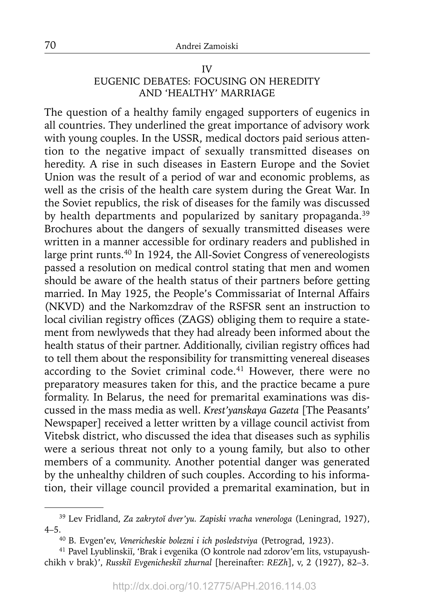### IV EUGENIC DEBATES: FOCUSING ON HEREDITY AND 'HEALTHY' MARRIAGE

The question of a healthy family engaged supporters of eugenics in all countries. They underlined the great importance of advisory work with young couples. In the USSR, medical doctors paid serious attention to the negative impact of sexually transmitted diseases on heredity. A rise in such diseases in Eastern Europe and the Soviet Union was the result of a period of war and economic problems, as well as the crisis of the health care system during the Great War. In the Soviet republics, the risk of diseases for the family was discussed by health departments and popularized by sanitary propaganda.<sup>39</sup> Brochures about the dangers of sexually transmitted diseases were written in a manner accessible for ordinary readers and published in large print runts.40 In 1924, the All-Soviet Congress of venereologists passed a resolution on medical control stating that men and women should be aware of the health status of their partners before getting married. In May 1925, the People's Commissariat of Internal Affairs (NKVD) and the Narkomzdrav of the RSFSR sent an instruction to local civilian registry offices (ZAGS) obliging them to require a statement from newlyweds that they had already been informed about the health status of their partner. Additionally, civilian registry offices had to tell them about the responsibility for transmitting venereal diseases according to the Soviet criminal code.<sup>41</sup> However, there were no preparatory measures taken for this, and the practice became a pure formality. In Belarus, the need for premarital examinations was discussed in the mass media as well. *Krest'yanskaya Gazeta* [The Peasants' Newspaper] received a letter written by a village council activist from Vitebsk district, who discussed the idea that diseases such as syphilis were a serious threat not only to a young family, but also to other members of a community. Another potential danger was generated by the unhealthy children of such couples. According to his information, their village council provided a premarital examination, but in

<sup>39</sup> Lev Fridland, *Za zakrytoĭ dver'yu. Zapiski vracha venerologa* (Leningrad, 1927), 4–5.40 B. Evgen'ev, *Venericheskie bolezni i ich posledstviya* (Petrograd, 1923).

<sup>41</sup> Pavel Lyublinskiĭ, 'Brak i evgenika (O kontrole nad zdorov'em lits, vstupayushchikh v brak)', *Russkiĭ Evgenicheskiĭ zhurnal* [hereinafter: *REZh*], v, 2 (1927), 82–3.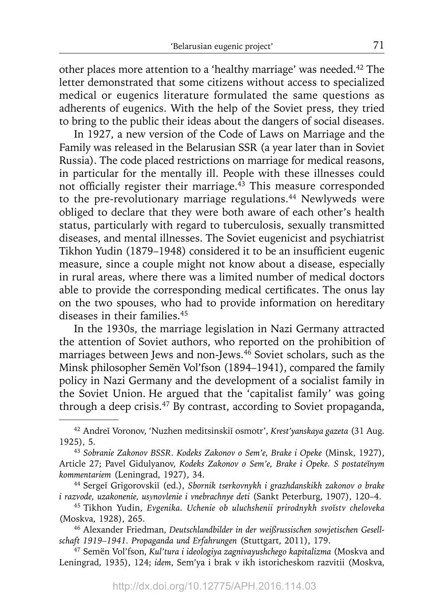other places more attention to a 'healthy marriage' was needed.<sup>42</sup> The letter demonstrated that some citizens without access to specialized medical or eugenics literature formulated the same questions as adherents of eugenics. With the help of the Soviet press, they tried to bring to the public their ideas about the dangers of social diseases.

In 1927, a new version of the Code of Laws on Marriage and the Family was released in the Belarusian SSR (a year later than in Soviet Russia). The code placed restrictions on marriage for medical reasons, in particular for the mentally ill. People with these illnesses could not officially register their marriage. $43$  This measure corresponded to the pre-revolutionary marriage regulations.<sup>44</sup> Newlyweds were obliged to declare that they were both aware of each other's health status, particularly with regard to tuberculosis, sexually transmitted diseases, and mental illnesses. The Soviet eugenicist and psychiatrist Tikhon Yudin (1879–1948) considered it to be an insufficient eugenic measure, since a couple might not know about a disease, especially in rural areas, where there was a limited number of medical doctors able to provide the corresponding medical certificates. The onus lay on the two spouses, who had to provide information on hereditary diseases in their families.45

In the 1930s, the marriage legislation in Nazi Germany attracted the attention of Soviet authors, who reported on the prohibition of marriages between Jews and non-Jews.<sup>46</sup> Soviet scholars, such as the Minsk philosopher Semën Vol'fson (1894–1941), compared the family policy in Nazi Germany and the development of a socialist family in the Soviet Union. He argued that the 'capitalist family' was going through a deep crisis.47 By contrast, according to Soviet propaganda,

<sup>42</sup> Andreĭ Voronov, 'Nuzhen meditsinskiĭ osmotr', *Krest'yanskaya gazeta* (31 Aug. 1925), 5.

<sup>43</sup>*Sobranie Zakonov BSSR. Kodeks Zakonov o Sem'e, Brake i Opeke* (Minsk, 1927), Article 27; Pavel Gidulyanov, *Kodeks Zakonov o Sem'e, Brake i Opeke. S postateĭnym kommentariem* (Leningrad, 1927), 34.

<sup>44</sup> Sergeĭ Grigorovskiĭ (ed.), *Sbornik tserkovnykh i grazhdanskikh zakonov o brake i razvode, uzakonenie, usynovlenie i vnebrachnye deti* (Sankt Peterburg, 1907), 120–4.

<sup>45</sup> Tikhon Yudin, *Evgenika. Uchenie ob uluchshenii prirodnykh svoĭstv cheloveka* (Moskva, 1928), 265.

<sup>46</sup> Alexander Friedman, *Deutschlandbilder in der weißrussischen sowjetischen Gesellschaft 1919–1941. Propaganda und Erfahrungen* (Stuttgart, 2011), 179.

<sup>47</sup> Semën Vol'fson, *Kul'tura i ideologiya zagnivayushchego kapitalizma* (Moskva and Leningrad, 1935), 124; *idem*, Sem'ya i brak v ikh istoricheskom razvitii (Moskva,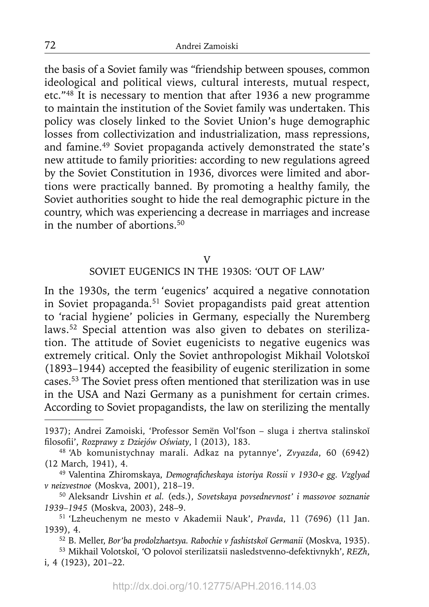the basis of a Soviet family was "friendship between spouses, common ideological and political views, cultural interests, mutual respect, etc."48 It is necessary to mention that after 1936 a new programme to maintain the institution of the Soviet family was undertaken. This policy was closely linked to the Soviet Union's huge demographic losses from collectivization and industrialization, mass repressions, and famine.49 Soviet propaganda actively demonstrated the state's new attitude to family priorities: according to new regulations agreed by the Soviet Constitution in 1936, divorces were limited and abortions were practically banned. By promoting a healthy family, the Soviet authorities sought to hide the real demographic picture in the country, which was experiencing a decrease in marriages and increase in the number of abortions.50

### V

# SOVIET EUGENICS IN THE 1930S: 'OUT OF LAW'

In the 1930s, the term 'eugenics' acquired a negative connotation in Soviet propaganda.51 Soviet propagandists paid great attention to 'racial hygiene' policies in Germany, especially the Nuremberg laws.52 Special attention was also given to debates on sterilization. The attitude of Soviet eugenicists to negative eugenics was extremely critical. Only the Soviet anthropologist Mikhail Volotskoĭ (1893–1944) accepted the feasibility of eugenic sterilization in some cases.53 The Soviet press often mentioned that sterilization was in use in the USA and Nazi Germany as a punishment for certain crimes. According to Soviet propagandists, the law on sterilizing the mentally

<sup>1937);</sup> Andrei Zamoiski, 'Professor Semën Vol'fson – sluga i zhertva stalinskoĭ filosofii', Rozprawy z Dziejów Oświaty, l (2013), 183.

fi losofi i', *Rozprawy z Dziejów Oświaty*, l (2013), 183. 48 'Ab komunistychnay marali. Adkaz na pytannye', *Zvyazda*, 60 (6942) (12 March, 1941), 4.

<sup>&</sup>lt;sup>49</sup> Valentina Zhiromskaya, Demograficheskaya istoriya Rossii v 1930-e gg. Vzglyad *v neizvestnoe* (Moskva, 2001), 218–19.

<sup>50</sup> Aleksandr Livshin *et al.* (eds.), *Sovetskaya povsednevnost' i massovoe soznanie 1939–1945* (Moskva, 2003), 248–9.

<sup>51 &#</sup>x27;Lzheuchenym ne mesto v Akademii Nauk', *Pravda*, 11 (7696) (11 Jan. 1939), 4.

<sup>52</sup> B. Meller, *Bor'ba prodolzhaetsya. Rabochie v fashistskoĭ Germanii* (Moskva, 1935).

<sup>53</sup> Mikhail Volotskoĭ, 'O polovoĭ sterilizatsii nasledstvenno-defektivnykh', *REZh*, i, 4 (1923), 201–22.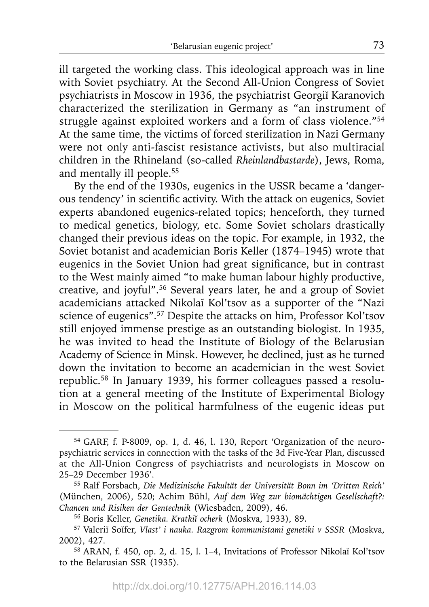ill targeted the working class. This ideological approach was in line with Soviet psychiatry. At the Second All-Union Congress of Soviet psychiatrists in Moscow in 1936, the psychiatrist Georgiĭ Karanovich characterized the sterilization in Germany as "an instrument of struggle against exploited workers and a form of class violence."54 At the same time, the victims of forced sterilization in Nazi Germany were not only anti-fascist resistance activists, but also multiracial children in the Rhineland (so-called *Rheinlandbastarde*), Jews, Roma, and mentally ill people.55

By the end of the 1930s, eugenics in the USSR became a 'dangerous tendency' in scientific activity. With the attack on eugenics, Soviet experts abandoned eugenics-related topics; henceforth, they turned to medical genetics, biology, etc. Some Soviet scholars drastically changed their previous ideas on the topic. For example, in 1932, the Soviet botanist and academician Boris Keller (1874–1945) wrote that eugenics in the Soviet Union had great significance, but in contrast to the West mainly aimed "to make human labour highly productive, creative, and joyful".56 Several years later, he and a group of Soviet academicians attacked Nikolaĭ Kol'tsov as a supporter of the "Nazi science of eugenics".57 Despite the attacks on him, Professor Kol'tsov still enjoyed immense prestige as an outstanding biologist. In 1935, he was invited to head the Institute of Biology of the Belarusian Academy of Science in Minsk. However, he declined, just as he turned down the invitation to become an academician in the west Soviet republic.58 In January 1939, his former colleagues passed a resolution at a general meeting of the Institute of Experimental Biology in Moscow on the political harmfulness of the eugenic ideas put

<sup>54</sup> GARF, f. P-8009, op. 1, d. 46, l. 130, Report 'Organization of the neuropsychiatric services in connection with the tasks of the 3d Five-Year Plan, discussed at the All-Union Congress of psychiatrists and neurologists in Moscow on 25–29 December 1936'.

<sup>&</sup>lt;sup>55</sup> Ralf Forsbach, *Die Medizinische Fakultät der Universität Bonn im 'Dritten Reich'* (München, 2006), 520; Achim Bühl, Auf dem Weg zur biomächtigen Gesellschaft?: *Chancen und Risiken der Gentechnik* (Wiesbaden, 2009), 46.

<sup>56</sup> Boris Keller, *Genetika. Kratkiĭ ocherk* (Moskva, 1933), 89.

<sup>57</sup> Valeriĭ Soĭfer, *Vlast' i nauka. Razgrom kommunistami genetiki v SSSR* (Moskva, 2002), 427.

<sup>58</sup> ARAN, f. 450, op. 2, d. 15, l. 1–4, Invitations of Professor Nikolaĭ Kol'tsov to the Belarusian SSR (1935).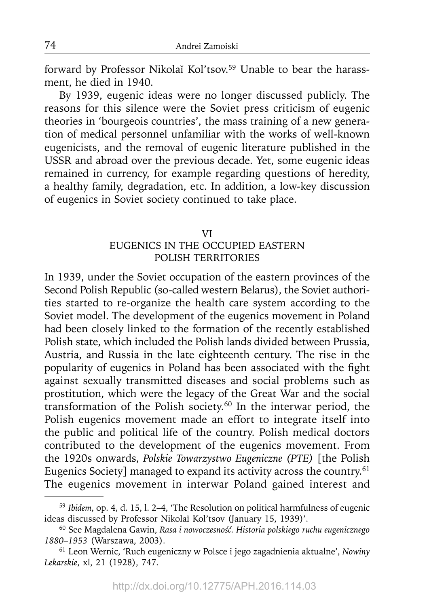forward by Professor Nikolaĭ Kol'tsov.<sup>59</sup> Unable to bear the harassment, he died in 1940.

By 1939, eugenic ideas were no longer discussed publicly. The reasons for this silence were the Soviet press criticism of eugenic theories in 'bourgeois countries', the mass training of a new generation of medical personnel unfamiliar with the works of well-known eugenicists, and the removal of eugenic literature published in the USSR and abroad over the previous decade. Yet, some eugenic ideas remained in currency, for example regarding questions of heredity, a healthy family, degradation, etc. In addition, a low-key discussion of eugenics in Soviet society continued to take place.

#### VI

## EUGENICS IN THE OCCUPIED EASTERN POLISH TERRITORIES

In 1939, under the Soviet occupation of the eastern provinces of the Second Polish Republic (so-called western Belarus), the Soviet authorities started to re-organize the health care system according to the Soviet model. The development of the eugenics movement in Poland had been closely linked to the formation of the recently established Polish state, which included the Polish lands divided between Prussia, Austria, and Russia in the late eighteenth century. The rise in the popularity of eugenics in Poland has been associated with the fight against sexually transmitted diseases and social problems such as prostitution, which were the legacy of the Great War and the social transformation of the Polish society.60 In the interwar period, the Polish eugenics movement made an effort to integrate itself into the public and political life of the country. Polish medical doctors contributed to the development of the eugenics movement. From the 1920s onwards, *Polskie Towarzystwo Eugeniczne (PTE)* [the Polish Eugenics Society] managed to expand its activity across the country.<sup>61</sup> The eugenics movement in interwar Poland gained interest and

<sup>59</sup>*Ibidem*, op. 4, d. 15, l. 2–4, 'The Resolution on political harmfulness of eugenic ideas discussed by Professor Nikolaĭ Kol'tsov (January 15, 1939)'.

<sup>60</sup> See Magdalena Gawin, *Rasa i nowoczesność. Historia polskiego ruchu eugenicznego 1880–1953* (Warszawa, 2003). 61 Leon Wernic, 'Ruch eugeniczny w Polsce i jego zagadnienia aktualne', *Nowiny* 

*Lekarskie*, xl, 21 (1928), 747.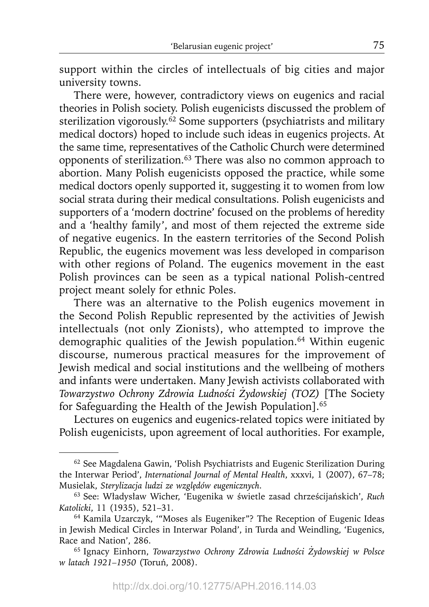support within the circles of intellectuals of big cities and major university towns.

There were, however, contradictory views on eugenics and racial theories in Polish society. Polish eugenicists discussed the problem of sterilization vigorously.<sup>62</sup> Some supporters (psychiatrists and military medical doctors) hoped to include such ideas in eugenics projects. At the same time, representatives of the Catholic Church were determined opponents of sterilization.63 There was also no common approach to abortion. Many Polish eugenicists opposed the practice, while some medical doctors openly supported it, suggesting it to women from low social strata during their medical consultations. Polish eugenicists and supporters of a 'modern doctrine' focused on the problems of heredity and a 'healthy family', and most of them rejected the extreme side of negative eugenics. In the eastern territories of the Second Polish Republic, the eugenics movement was less developed in comparison with other regions of Poland. The eugenics movement in the east Polish provinces can be seen as a typical national Polish-centred project meant solely for ethnic Poles.

There was an alternative to the Polish eugenics movement in the Second Polish Republic represented by the activities of Jewish intellectuals (not only Zionists), who attempted to improve the demographic qualities of the Jewish population.<sup>64</sup> Within eugenic discourse, numerous practical measures for the improvement of Jewish medical and social institutions and the wellbeing of mothers and infants were undertaken. Many Jewish activists collaborated with *Towarzystwo Ochrony Zdrowia Ludności Żydowskiej (TOZ)* [The Society for Safeguarding the Health of the Jewish Population].65

Lectures on eugenics and eugenics-related topics were initiated by Polish eugenicists, upon agreement of local authorities. For example,

<sup>62</sup> See Magdalena Gawin, 'Polish Psychiatrists and Eugenic Sterilization During the Interwar Period', *International Journal of Mental Health*, xxxvi, 1 (2007), 67–78; Musielak, *Sterylizacja ludzi ze wzglę dó w eugenicznych*.

<sup>63</sup> See: Władysław Wicher, 'Eugenika w świetle zasad chrześcijańskich', *Ruch Katolicki*, 11 (1935), 521–31.

<sup>64</sup> Kamila Uzarczyk, '"Moses als Eugeniker"? The Reception of Eugenic Ideas in Jewish Medical Circles in Interwar Poland', in Turda and Weindling, 'Eugenics, Race and Nation', 286.

<sup>65</sup> Ignacy Einhorn, *Towarzystwo Ochrony Zdrowia Ludności Żydowskiej w Polsce w latach 1921–1950* (Toruń, 2008).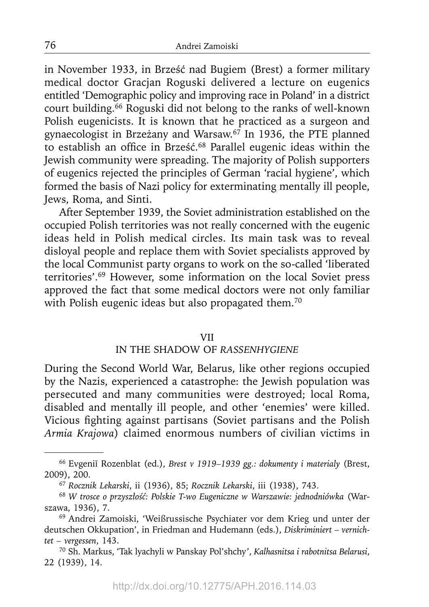in November 1933, in Brześć nad Bugiem (Brest) a former military medical doctor Gracjan Roguski delivered a lecture on eugenics entitled 'Demographic policy and improving race in Poland' in a district court building.66 Roguski did not belong to the ranks of well-known Polish eugenicists. It is known that he practiced as a surgeon and gynaecologist in Brzeżany and Warsaw.67 In 1936, the PTE planned to establish an office in Brześć.<sup>68</sup> Parallel eugenic ideas within the Jewish community were spreading. The majority of Polish supporters of eugenics rejected the principles of German 'racial hygiene', which formed the basis of Nazi policy for exterminating mentally ill people, Jews, Roma, and Sinti.

After September 1939, the Soviet administration established on the occupied Polish territories was not really concerned with the eugenic ideas held in Polish medical circles. Its main task was to reveal disloyal people and replace them with Soviet specialists approved by the local Communist party organs to work on the so-called 'liberated territories'.69 However, some information on the local Soviet press approved the fact that some medical doctors were not only familiar with Polish eugenic ideas but also propagated them.<sup>70</sup>

#### VII

## IN THE SHADOW OF *RASSENHYGIENE*

During the Second World War, Belarus, like other regions occupied by the Nazis, experienced a catastrophe: the Jewish population was persecuted and many communities were destroyed; local Roma, disabled and mentally ill people, and other 'enemies' were killed. Vicious fighting against partisans (Soviet partisans and the Polish *Armia Krajowa*) claimed enormous numbers of civilian victims in

<sup>66</sup> Evgeniĭ Rozenblat (ed.), *Brest v 1919–1939 gg.: dokumenty i materialy* (Brest, 2009), 200.

<sup>67</sup>*Rocznik Lekarski*, ii (1936), 85; *Rocznik Lekarski*, iii (1938), 743.

<sup>68</sup> *W trosce o przyszłość: Polskie T-wo Eugeniczne w Warszawie: jednodniówka* (Warszawa, 1936), 7.

<sup>69</sup> Andrei Zamoiski, 'Weißrussische Psychiater vor dem Krieg und unter der deutschen Okkupation', in Friedman and Hudemann (eds.), *Diskriminiert – vernichtet – vergessen*, 143.

<sup>70</sup> Sh. Markus, 'Tak lyachyli w Panskay Pol'shchy', *Kalhasnitsa i rabotnitsa Belarusi*, 22 (1939), 14.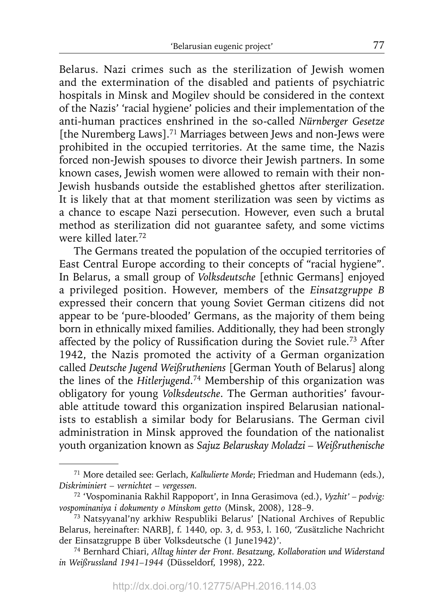Belarus. Nazi crimes such as the sterilization of Jewish women and the extermination of the disabled and patients of psychiatric hospitals in Minsk and Mogilev should be considered in the context of the Nazis' 'racial hygiene' policies and their implementation of the anti-human practices enshrined in the so-called *Nürnberger Gesetze* [the Nuremberg Laws].<sup>71</sup> Marriages between Jews and non-Jews were prohibited in the occupied territories. At the same time, the Nazis forced non-Jewish spouses to divorce their Jewish partners. In some known cases, Jewish women were allowed to remain with their non-Jewish husbands outside the established ghettos after sterilization. It is likely that at that moment sterilization was seen by victims as a chance to escape Nazi persecution. However, even such a brutal method as sterilization did not guarantee safety, and some victims were killed later.72

The Germans treated the population of the occupied territories of East Central Europe according to their concepts of "racial hygiene". In Belarus, a small group of *Volksdeutsche* [ethnic Germans] enjoyed a privileged position. However, members of the *Einsatzgruppe B* expressed their concern that young Soviet German citizens did not appear to be 'pure-blooded' Germans, as the majority of them being born in ethnically mixed families. Additionally, they had been strongly affected by the policy of Russification during the Soviet rule.<sup>73</sup> After 1942, the Nazis promoted the activity of a German organization called *Deutsche Jugend Weißrutheniens* [German Youth of Belarus] along the lines of the *Hitlerjugend*. 74 Membership of this organization was obligatory for young *Volksdeutsche*. The German authorities' favourable attitude toward this organization inspired Belarusian nationalists to establish a similar body for Belarusians. The German civil administration in Minsk approved the foundation of the nationalist youth organization known as *Sajuz Belaruskay Moladzi – Weißruthenische* 

<sup>71</sup> More detailed see: Gerlach, *Kalkulierte Morde*; Friedman and Hudemann (eds.), *Diskriminiert – vernichtet – vergessen.*

<sup>72 &#</sup>x27;Vospominania Rakhil Rappoport', in Inna Gerasimova (ed.), *Vyzhit' – podvig:* 

<sup>&</sup>lt;sup>73</sup> Natsyyanal'ny arkhiw Respubliki Belarus' [National Archives of Republic Belarus, hereinafter: NARB], f. 1440, op. 3, d. 953, l. 160, 'Zusätzliche Nachricht der Einsatzgruppe B über Volksdeutsche (1 June1942)'.

<sup>74</sup> Bernhard Chiari, *Alltag hinter der Front. Besatzung, Kollaboration und Widerstand in Weißrussland 1941–1944* (Düsseldorf, 1998), 222.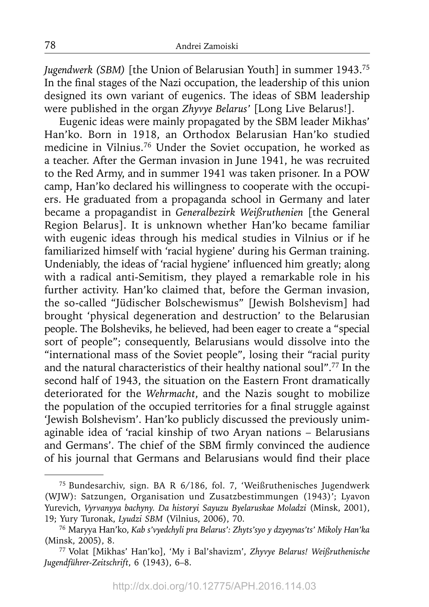*Jugendwerk (SBM)* [the Union of Belarusian Youth] in summer 1943.75 In the final stages of the Nazi occupation, the leadership of this union designed its own variant of eugenics. The ideas of SBM leadership were published in the organ *Zhyvye Belarus'* [Long Live Belarus!].

Eugenic ideas were mainly propagated by the SBM leader Mikhas' Han'ko. Born in 1918, an Orthodox Belarusian Han'ko studied medicine in Vilnius.76 Under the Soviet occupation, he worked as a teacher. After the German invasion in June 1941, he was recruited to the Red Army, and in summer 1941 was taken prisoner. In a POW camp, Han'ko declared his willingness to cooperate with the occupiers. He graduated from a propaganda school in Germany and later became a propagandist in *Generalbezirk Weißruthenien* [the General Region Belarus]. It is unknown whether Han'ko became familiar with eugenic ideas through his medical studies in Vilnius or if he familiarized himself with 'racial hygiene' during his German training. Undeniably, the ideas of 'racial hygiene' influenced him greatly; along with a radical anti-Semitism, they played a remarkable role in his further activity. Han'ko claimed that, before the German invasion, the so-called "Jüdischer Bolschewismus" [Jewish Bolshevism] had brought 'physical degeneration and destruction' to the Belarusian people. The Bolsheviks, he believed, had been eager to create a "special sort of people"; consequently, Belarusians would dissolve into the "international mass of the Soviet people", losing their "racial purity and the natural characteristics of their healthy national soul".77 In the second half of 1943, the situation on the Eastern Front dramatically deteriorated for the *Wehrmacht*, and the Nazis sought to mobilize the population of the occupied territories for a final struggle against 'Jewish Bolshevism'. Han'ko publicly discussed the previously unimaginable idea of 'racial kinship of two Aryan nations – Belarusians and Germans'. The chief of the SBM firmly convinced the audience of his journal that Germans and Belarusians would find their place

<sup>75</sup> Bundesarchiv, sign. BA R 6/186, fol. 7, 'Weißruthenisches Jugendwerk (WJW): Satzungen, Organisation und Zusatzbestimmungen (1943)'; Lyavon Yurevich, *Vyrvanyya bachyny. Da historyi Sayuzu Byelaruskae Moladzi* (Minsk, 2001), 19; Yury Turonak, *Lyudzi SBM* (Vilnius, 2006), 70. 76 Maryya Han'ko, *Kab s'vyedchyli pra Belarus': Zhyts'syo y dzyeynas'ts' Mikoly Han'ka*

<sup>(</sup>Minsk, 2005), 8.

<sup>77</sup> Volat [Mikhas' Han'ko], 'My i Bal'shavizm', *Zhyvye Belarus! Weißruthenische Jugendführer-Zeitschrift*, 6 (1943), 6–8.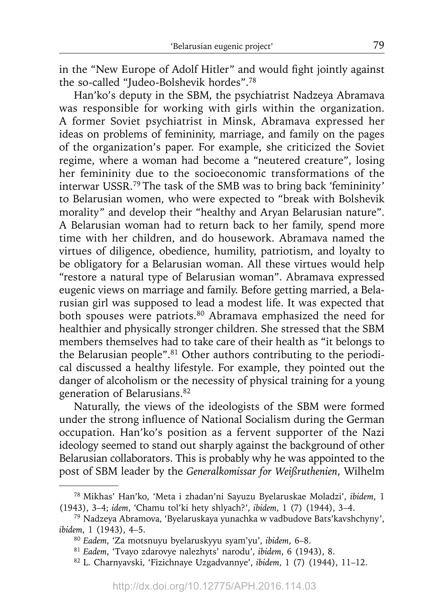in the "New Europe of Adolf Hitler" and would fight jointly against the so-called "Judeo-Bolshevik hordes".78

Han'ko's deputy in the SBM, the psychiatrist Nadzeya Abramava was responsible for working with girls within the organization. A former Soviet psychiatrist in Minsk, Abramava expressed her ideas on problems of femininity, marriage, and family on the pages of the organization's paper. For example, she criticized the Soviet regime, where a woman had become a "neutered creature", losing her femininity due to the socioeconomic transformations of the interwar USSR.79 The task of the SMB was to bring back 'femininity' to Belarusian women, who were expected to "break with Bolshevik morality" and develop their "healthy and Aryan Belarusian nature". A Belarusian woman had to return back to her family, spend more time with her children, and do housework. Abramava named the virtues of diligence, obedience, humility, patriotism, and loyalty to be obligatory for a Belarusian woman. All these virtues would help "restore a natural type of Belarusian woman". Abramava expressed eugenic views on marriage and family. Before getting married, a Belarusian girl was supposed to lead a modest life. It was expected that both spouses were patriots.<sup>80</sup> Abramava emphasized the need for healthier and physically stronger children. She stressed that the SBM members themselves had to take care of their health as "it belongs to the Belarusian people".<sup>81</sup> Other authors contributing to the periodical discussed a healthy lifestyle. For example, they pointed out the danger of alcoholism or the necessity of physical training for a young generation of Belarusians.82

Naturally, the views of the ideologists of the SBM were formed under the strong influence of National Socialism during the German occupation. Han'ko's position as a fervent supporter of the Nazi ideology seemed to stand out sharply against the background of other Belarusian collaborators. This is probably why he was appointed to the post of SBM leader by the *Generalkomissar for Weißruthenien*, Wilhelm

<sup>78</sup> Mikhas' Han'ko, 'Meta i zhadan'ni Sayuzu Byelaruskae Moladzi', *ibidem*, 1 (1943), 3–4; *idem*, 'Chamu tol'ki hety shlyach?', *ibidem*, 1 (7) (1944), 3–4.

<sup>79</sup> Nadzeya Abramova, 'Byelaruskaya yunachka w vadbudove Bats'kavshchyny', *ibidem*, 1 (1943), 4–5.

<sup>80</sup>*Eadem*, 'Za motsnuyu byelaruskyyu syam'yu', *ibidem*, 6–8.

<sup>81</sup>*Eadem*, 'Tvayo zdarovye nalezhyts' narodu', *ibidem*, 6 (1943), 8.

<sup>82</sup> L. Charnyavski, 'Fizichnaye Uzgadvannye', *ibidem*, 1 (7) (1944), 11–12.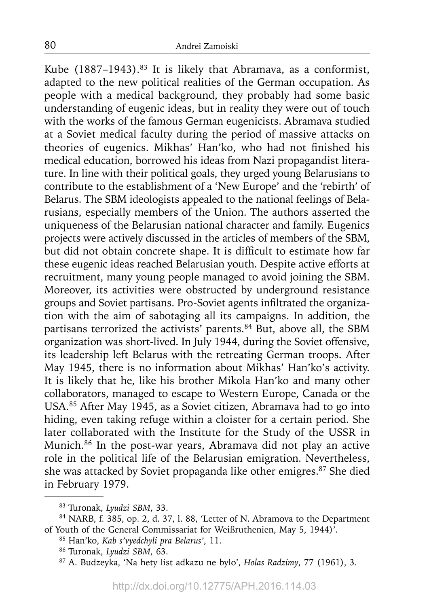Kube (1887-1943).<sup>83</sup> It is likely that Abramava, as a conformist, adapted to the new political realities of the German occupation. As people with a medical background, they probably had some basic understanding of eugenic ideas, but in reality they were out of touch with the works of the famous German eugenicists. Abramava studied at a Soviet medical faculty during the period of massive attacks on theories of eugenics. Mikhas' Han'ko, who had not finished his medical education, borrowed his ideas from Nazi propagandist literature. In line with their political goals, they urged young Belarusians to contribute to the establishment of a 'New Europe' and the 'rebirth' of Belarus. The SBM ideologists appealed to the national feelings of Belarusians, especially members of the Union. The authors asserted the uniqueness of the Belarusian national character and family. Eugenics projects were actively discussed in the articles of members of the SBM, but did not obtain concrete shape. It is difficult to estimate how far these eugenic ideas reached Belarusian youth. Despite active efforts at recruitment, many young people managed to avoid joining the SBM. Moreover, its activities were obstructed by underground resistance groups and Soviet partisans. Pro-Soviet agents infiltrated the organization with the aim of sabotaging all its campaigns. In addition, the partisans terrorized the activists' parents.<sup>84</sup> But, above all, the SBM organization was short-lived. In July 1944, during the Soviet offensive, its leadership left Belarus with the retreating German troops. After May 1945, there is no information about Mikhas' Han'ko's activity. It is likely that he, like his brother Mikola Han'ko and many other collaborators, managed to escape to Western Europe, Canada or the USA.85 After May 1945, as a Soviet citizen, Abramava had to go into hiding, even taking refuge within a cloister for a certain period. She later collaborated with the Institute for the Study of the USSR in Munich.86 In the post-war years, Abramava did not play an active role in the political life of the Belarusian emigration. Nevertheless, she was attacked by Soviet propaganda like other emigres.<sup>87</sup> She died in February 1979.

<sup>83</sup> Turonak, *Lyudzi SBM*, 33.

<sup>84</sup> NARB, f. 385, op. 2, d. 37, l. 88, 'Letter of N. Abramova to the Department of Youth of the General Commissariat for Weißruthenien, May 5, 1944)'. 85 Han'ko, *Kab s'vyedchyli pra Belarus'*, 11.

<sup>86</sup> Turonak, *Lyudzi SBM*, 63.

<sup>87</sup> A. Budzeyka, 'Na hety list adkazu ne bylo', *Holas Radzimy*, 77 (1961), 3.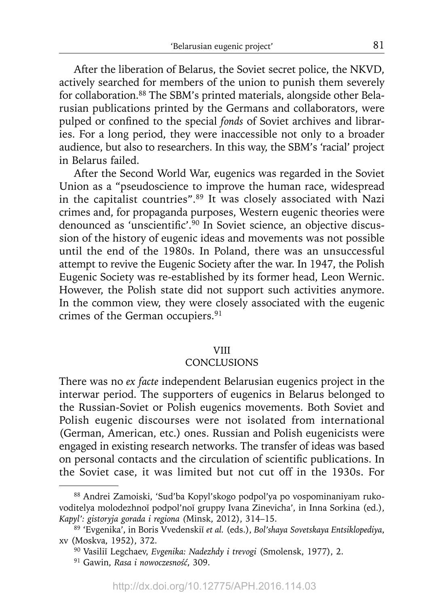After the liberation of Belarus, the Soviet secret police, the NKVD, actively searched for members of the union to punish them severely for collaboration.88 The SBM's printed materials, alongside other Belarusian publications printed by the Germans and collaborators, were pulped or confined to the special *fonds* of Soviet archives and libraries. For a long period, they were inaccessible not only to a broader audience, but also to researchers. In this way, the SBM's 'racial' project in Belarus failed.

After the Second World War, eugenics was regarded in the Soviet Union as a "pseudoscience to improve the human race, widespread in the capitalist countries".89 It was closely associated with Nazi crimes and, for propaganda purposes, Western eugenic theories were denounced as 'unscientific'.<sup>90</sup> In Soviet science, an objective discussion of the history of eugenic ideas and movements was not possible until the end of the 1980s. In Poland, there was an unsuccessful attempt to revive the Eugenic Society after the war. In 1947, the Polish Eugenic Society was re-established by its former head, Leon Wernic. However, the Polish state did not support such activities anymore. In the common view, they were closely associated with the eugenic crimes of the German occupiers.<sup>91</sup>

### VIII

### **CONCLUSIONS**

There was no *ex facte* independent Belarusian eugenics project in the interwar period. The supporters of eugenics in Belarus belonged to the Russian-Soviet or Polish eugenics movements. Both Soviet and Polish eugenic discourses were not isolated from international (German, American, etc.) ones. Russian and Polish eugenicists were engaged in existing research networks. The transfer of ideas was based on personal contacts and the circulation of scientific publications. In the Soviet case, it was limited but not cut off in the 1930s. For

<sup>88</sup> Andrei Zamoiski, 'Sud'ba Kopyl'skogo podpol'ya po vospominaniyam rukovoditelya molodezhnoĭ podpol'noĭ gruppy Ivana Zinevicha', in Inna Sorkina (ed.), *Kapyl': gistoryja gorada i regiona (*Minsk, 2012), 314–15.

<sup>89 &#</sup>x27;Evgenika', in Boris Vvedenskiĭ *et al.* (eds.), *Bol'shaya Sovetskaya Entsiklopediya*, xv (Moskva, 1952), 372.

<sup>90</sup> Vasiliĭ Legchaev, *Evgenika: Nadezhdy i trevogi* (Smolensk, 1977), 2.

<sup>91</sup> Gawin, *Rasa i nowoczesność*, 309.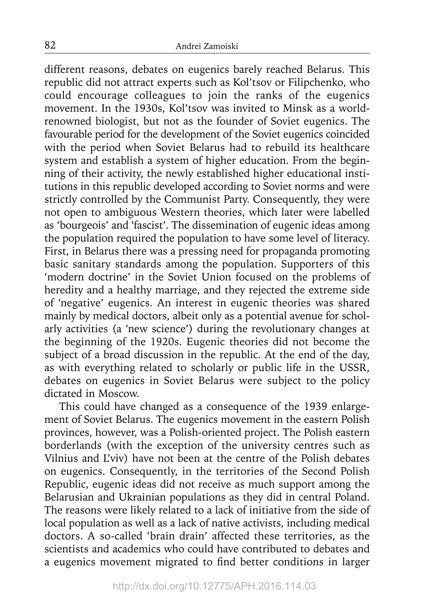different reasons, debates on eugenics barely reached Belarus. This republic did not attract experts such as Kol'tsov or Filipchenko, who could encourage colleagues to join the ranks of the eugenics movement. In the 1930s, Kol'tsov was invited to Minsk as a worldrenowned biologist, but not as the founder of Soviet eugenics. The favourable period for the development of the Soviet eugenics coincided with the period when Soviet Belarus had to rebuild its healthcare system and establish a system of higher education. From the beginning of their activity, the newly established higher educational institutions in this republic developed according to Soviet norms and were strictly controlled by the Communist Party. Consequently, they were not open to ambiguous Western theories, which later were labelled as 'bourgeois' and 'fascist'. The dissemination of eugenic ideas among the population required the population to have some level of literacy. First, in Belarus there was a pressing need for propaganda promoting basic sanitary standards among the population. Supporters of this 'modern doctrine' in the Soviet Union focused on the problems of heredity and a healthy marriage, and they rejected the extreme side of 'negative' eugenics. An interest in eugenic theories was shared mainly by medical doctors, albeit only as a potential avenue for scholarly activities (a 'new science') during the revolutionary changes at the beginning of the 1920s. Eugenic theories did not become the subject of a broad discussion in the republic. At the end of the day, as with everything related to scholarly or public life in the USSR, debates on eugenics in Soviet Belarus were subject to the policy dictated in Moscow.

This could have changed as a consequence of the 1939 enlargement of Soviet Belarus. The eugenics movement in the eastern Polish provinces, however, was a Polish-oriented project. The Polish eastern borderlands (with the exception of the university centres such as Vilnius and L'viv) have not been at the centre of the Polish debates on eugenics. Consequently, in the territories of the Second Polish Republic, eugenic ideas did not receive as much support among the Belarusian and Ukrainian populations as they did in central Poland. The reasons were likely related to a lack of initiative from the side of local population as well as a lack of native activists, including medical doctors. A so-called 'brain drain' affected these territories, as the scientists and academics who could have contributed to debates and a eugenics movement migrated to find better conditions in larger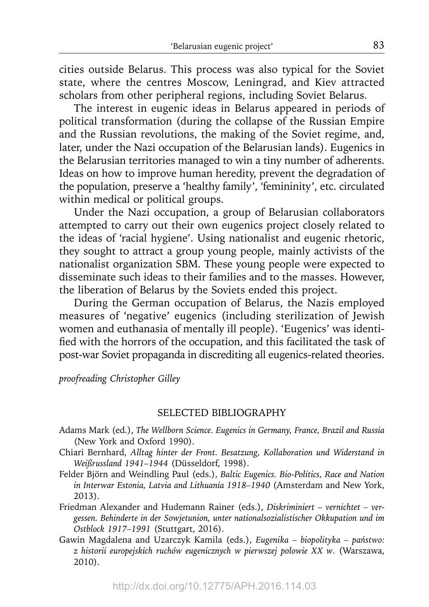cities outside Belarus. This process was also typical for the Soviet state, where the centres Moscow, Leningrad, and Kiev attracted scholars from other peripheral regions, including Soviet Belarus.

The interest in eugenic ideas in Belarus appeared in periods of political transformation (during the collapse of the Russian Empire and the Russian revolutions, the making of the Soviet regime, and, later, under the Nazi occupation of the Belarusian lands). Eugenics in the Belarusian territories managed to win a tiny number of adherents. Ideas on how to improve human heredity, prevent the degradation of the population, preserve a 'healthy family', 'femininity', etc. circulated within medical or political groups.

Under the Nazi occupation, a group of Belarusian collaborators attempted to carry out their own eugenics project closely related to the ideas of 'racial hygiene'. Using nationalist and eugenic rhetoric, they sought to attract a group young people, mainly activists of the nationalist organization SBM. These young people were expected to disseminate such ideas to their families and to the masses. However, the liberation of Belarus by the Soviets ended this project.

During the German occupation of Belarus, the Nazis employed measures of 'negative' eugenics (including sterilization of Jewish women and euthanasia of mentally ill people). 'Eugenics' was identified with the horrors of the occupation, and this facilitated the task of post-war Soviet propaganda in discrediting all eugenics-related theories.

*proofreading Christopher Gilley*

### SELECTED BIBLIOGRAPHY

- Adams Mark (ed.), *The Wellborn Science. Eugenics in Germany, France, Brazil and Russia*  (New York and Oxford 1990).
- Chiari Bernhard, *Alltag hinter der Front. Besatzung, Kollaboration und Widerstand in Weißrussland 1941–1944* (Düsseldorf, 1998).
- Felder Björn and Weindling Paul (eds.), *Baltic Eugenics. Bio-Politics, Race and Nation in Interwar Estonia, Latvia and Lithuania 1918–1940* (Amsterdam and New York, 2013).
- Friedman Alexander and Hudemann Rainer (eds.), *Diskriminiert vernichtet vergessen. Behinderte in der Sowjetunion, unter nationalsozialistischer Okkupation und im Ostblock 1917–1991* (Stuttgart, 2016).
- Gawin Magdalena and Uzarczyk Kamila (eds.), *Eugenika biopolityka państwo: z historii europejskich ruchó w eugenicznych w pierwszej połowie XX w*. (Warszawa, 2010).